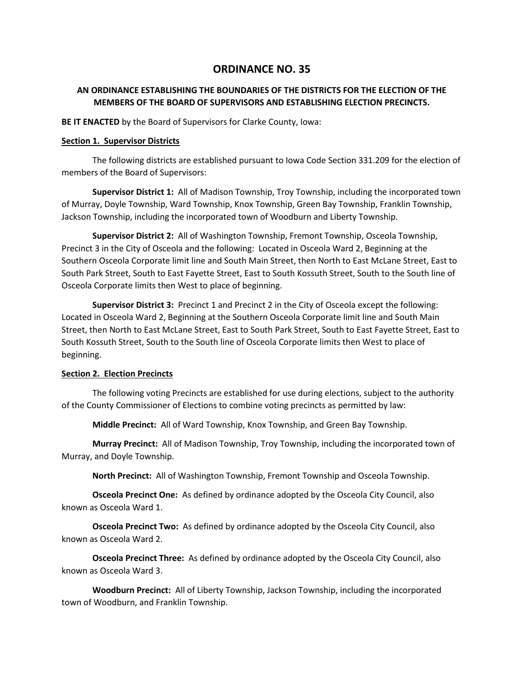# **ORDINANCE NO. 35**

# **AN ORDINANCE ESTABLISHING THE BOUNDARIES OF THE DISTRICTS FOR THE ELECTION OF THE MEMBERS OF THE BOARD OF SUPERVISORS AND ESTABLISHING ELECTION PRECINCTS.**

**BE IT ENACTED** by the Board of Supervisors for Clarke County, Iowa:

### **Section 1. Supervisor Districts**

The following districts are established pursuant to Iowa Code Section 331.209 for the election of members of the Board of Supervisors:

**Supervisor District 1:** All of Madison Township, Troy Township, including the incorporated town of Murray, Doyle Township, Ward Township, Knox Township, Green Bay Township, Franklin Township, Jackson Township, including the incorporated town of Woodburn and Liberty Township.

**Supervisor District 2:** All of Washington Township, Fremont Township, Osceola Township, Precinct 3 in the City of Osceola and the following: Located in Osceola Ward 2, Beginning at the Southern Osceola Corporate limit line and South Main Street, then North to East McLane Street, East to South Park Street, South to East Fayette Street, East to South Kossuth Street, South to the South line of Osceola Corporate limits then West to place of beginning.

**Supervisor District 3:** Precinct 1 and Precinct 2 in the City of Osceola except the following: Located in Osceola Ward 2, Beginning at the Southern Osceola Corporate limit line and South Main Street, then North to East McLane Street, East to South Park Street, South to East Fayette Street, East to South Kossuth Street, South to the South line of Osceola Corporate limits then West to place of beginning.

# **Section 2. Election Precincts**

The following voting Precincts are established for use during elections, subject to the authority of the County Commissioner of Elections to combine voting precincts as permitted by law:

**Middle Precinct:** All of Ward Township, Knox Township, and Green Bay Township.

**Murray Precinct:** All of Madison Township, Troy Township, including the incorporated town of Murray, and Doyle Township.

**North Precinct:** All of Washington Township, Fremont Township and Osceola Township.

**Osceola Precinct One:** As defined by ordinance adopted by the Osceola City Council, also known as Osceola Ward 1.

**Osceola Precinct Two:** As defined by ordinance adopted by the Osceola City Council, also known as Osceola Ward 2.

**Osceola Precinct Three:** As defined by ordinance adopted by the Osceola City Council, also known as Osceola Ward 3.

**Woodburn Precinct:** All of Liberty Township, Jackson Township, including the incorporated town of Woodburn, and Franklin Township.